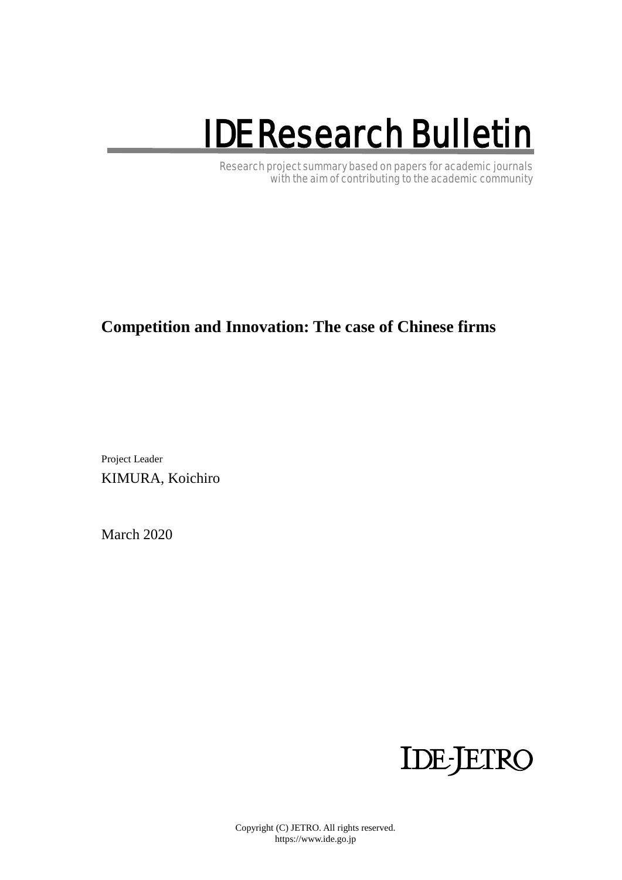# IDE Research Bulletin

Research project summary based on papers for academic journals with the aim of contributing to the academic community

## **Competition and Innovation: The case of Chinese firms**

Project Leader KIMURA, Koichiro

March 2020



Copyright (C) JETRO. All rights reserved. https://www.ide.go.jp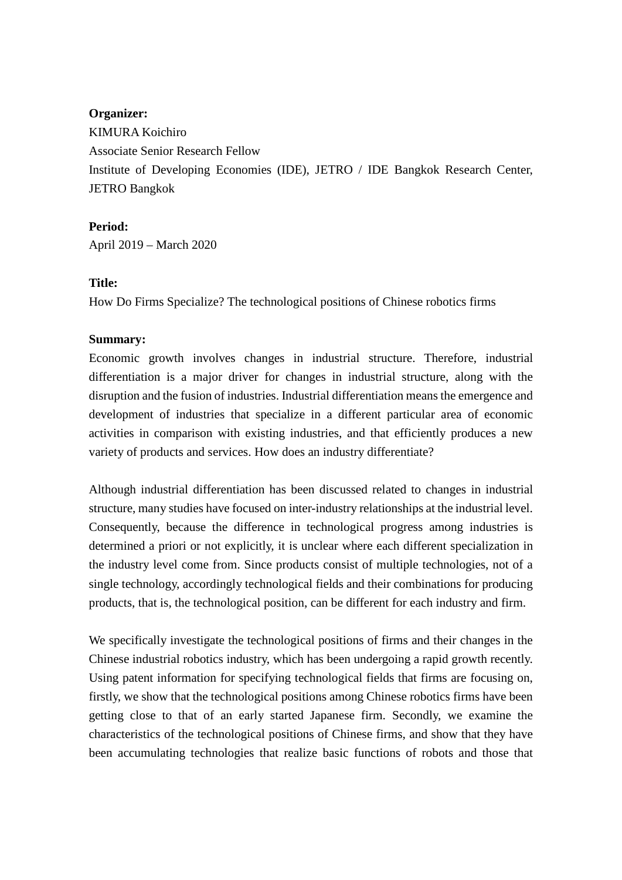#### **Organizer:**

KIMURA Koichiro Associate Senior Research Fellow Institute of Developing Economies (IDE), JETRO / IDE Bangkok Research Center, JETRO Bangkok

**Period:** April 2019 – March 2020

### **Title:**

How Do Firms Specialize? The technological positions of Chinese robotics firms

#### **Summary:**

Economic growth involves changes in industrial structure. Therefore, industrial differentiation is a major driver for changes in industrial structure, along with the disruption and the fusion of industries. Industrial differentiation means the emergence and development of industries that specialize in a different particular area of economic activities in comparison with existing industries, and that efficiently produces a new variety of products and services. How does an industry differentiate?

Although industrial differentiation has been discussed related to changes in industrial structure, many studies have focused on inter-industry relationships at the industrial level. Consequently, because the difference in technological progress among industries is determined a priori or not explicitly, it is unclear where each different specialization in the industry level come from. Since products consist of multiple technologies, not of a single technology, accordingly technological fields and their combinations for producing products, that is, the technological position, can be different for each industry and firm.

We specifically investigate the technological positions of firms and their changes in the Chinese industrial robotics industry, which has been undergoing a rapid growth recently. Using patent information for specifying technological fields that firms are focusing on, firstly, we show that the technological positions among Chinese robotics firms have been getting close to that of an early started Japanese firm. Secondly, we examine the characteristics of the technological positions of Chinese firms, and show that they have been accumulating technologies that realize basic functions of robots and those that